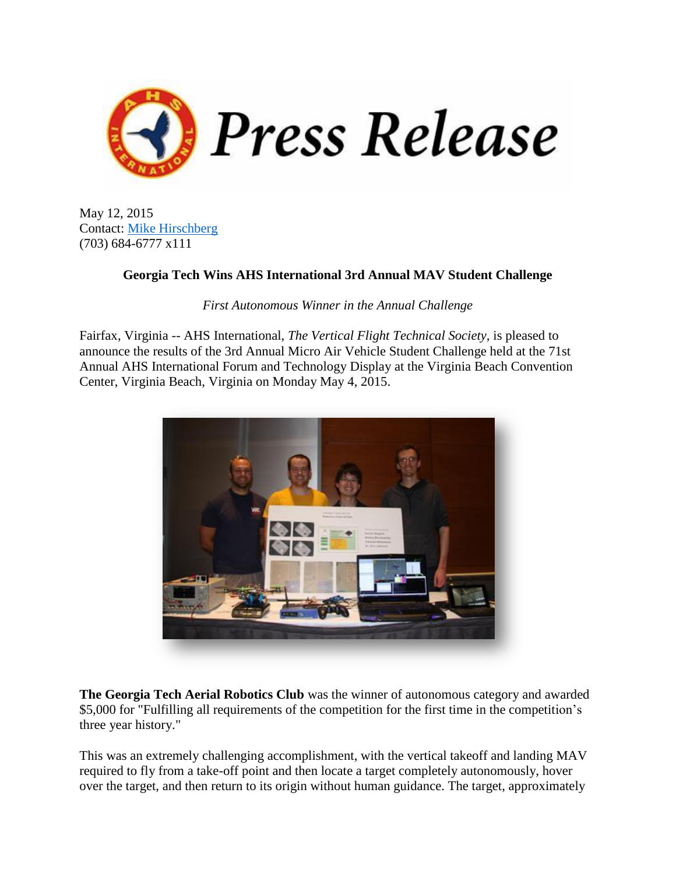

May 12, 2015 Contact: [Mike Hirschberg](mailto:director@vtol.org) (703) 684-6777 x111

## **Georgia Tech Wins AHS International 3rd Annual MAV Student Challenge**

*First Autonomous Winner in the Annual Challenge*

Fairfax, Virginia -- AHS International, *The Vertical Flight Technical Society,* is pleased to announce the results of the 3rd Annual Micro Air Vehicle Student Challenge held at the 71st Annual AHS International Forum and Technology Display at the Virginia Beach Convention Center, Virginia Beach, Virginia on Monday May 4, 2015.



**The Georgia Tech Aerial Robotics Club** was the winner of autonomous category and awarded \$5,000 for "Fulfilling all requirements of the competition for the first time in the competition's three year history."

This was an extremely challenging accomplishment, with the vertical takeoff and landing MAV required to fly from a take-off point and then locate a target completely autonomously, hover over the target, and then return to its origin without human guidance. The target, approximately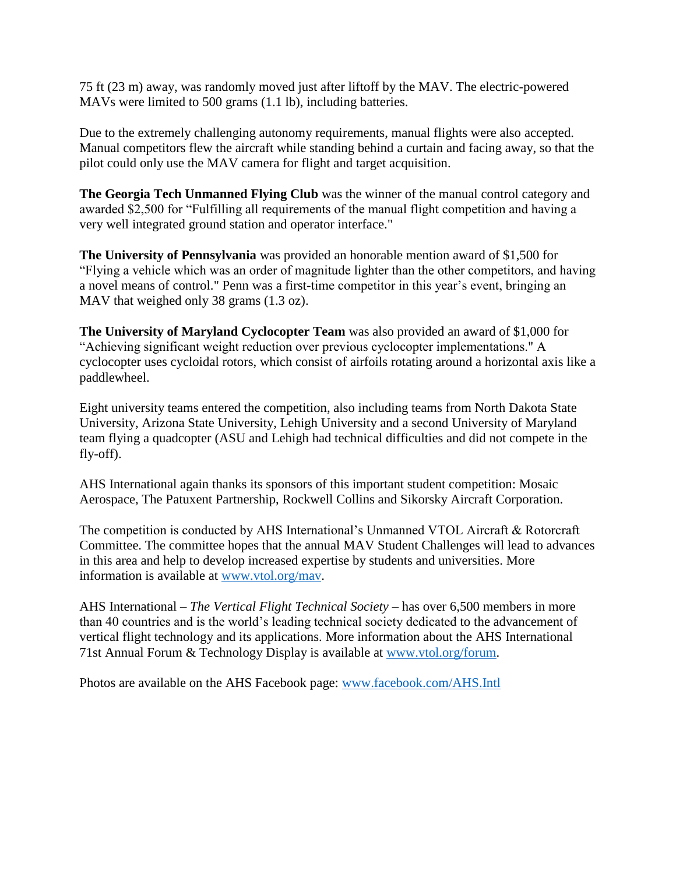75 ft (23 m) away, was randomly moved just after liftoff by the MAV. The electric-powered MAVs were limited to 500 grams (1.1 lb), including batteries.

Due to the extremely challenging autonomy requirements, manual flights were also accepted. Manual competitors flew the aircraft while standing behind a curtain and facing away, so that the pilot could only use the MAV camera for flight and target acquisition.

**The Georgia Tech Unmanned Flying Club** was the winner of the manual control category and awarded \$2,500 for "Fulfilling all requirements of the manual flight competition and having a very well integrated ground station and operator interface."

**The University of Pennsylvania** was provided an honorable mention award of \$1,500 for "Flying a vehicle which was an order of magnitude lighter than the other competitors, and having a novel means of control." Penn was a first-time competitor in this year's event, bringing an MAV that weighed only 38 grams (1.3 oz).

**The University of Maryland Cyclocopter Team** was also provided an award of \$1,000 for "Achieving significant weight reduction over previous cyclocopter implementations." A cyclocopter uses cycloidal rotors, which consist of airfoils rotating around a horizontal axis like a paddlewheel.

Eight university teams entered the competition, also including teams from North Dakota State University, Arizona State University, Lehigh University and a second University of Maryland team flying a quadcopter (ASU and Lehigh had technical difficulties and did not compete in the fly-off).

AHS International again thanks its sponsors of this important student competition: Mosaic Aerospace, The Patuxent Partnership, Rockwell Collins and Sikorsky Aircraft Corporation.

The competition is conducted by AHS International's Unmanned VTOL Aircraft & Rotorcraft Committee. The committee hopes that the annual MAV Student Challenges will lead to advances in this area and help to develop increased expertise by students and universities. More information is available at [www.vtol.org/mav.](http://www.vtol.org/mav)

AHS International – *The Vertical Flight Technical Society* – has over 6,500 members in more than 40 countries and is the world's leading technical society dedicated to the advancement of vertical flight technology and its applications. More information about the AHS International 71st Annual Forum & Technology Display is available at [www.vtol.org/forum.](https://vtol.org/forum)

Photos are available on the AHS Facebook page: [www.facebook.com/AHS.Intl](http://www.facebook.com/AHS.Intl)